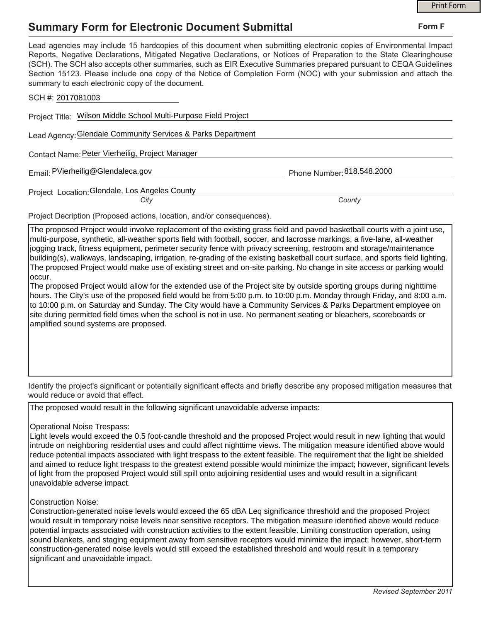## **Summary Form for Electronic Document Submittal**

|                                                                                                                                                                                                                                                                                                                                                                                                                                                                                                                                                                                                                                                     |                            | <b>Print Form</b> |
|-----------------------------------------------------------------------------------------------------------------------------------------------------------------------------------------------------------------------------------------------------------------------------------------------------------------------------------------------------------------------------------------------------------------------------------------------------------------------------------------------------------------------------------------------------------------------------------------------------------------------------------------------------|----------------------------|-------------------|
| <b>Summary Form for Electronic Document Submittal</b>                                                                                                                                                                                                                                                                                                                                                                                                                                                                                                                                                                                               | Form F                     |                   |
| Lead agencies may include 15 hardcopies of this document when submitting electronic copies of Environmental Impact<br>Reports, Negative Declarations, Mitigated Negative Declarations, or Notices of Preparation to the State Clearinghouse<br>(SCH). The SCH also accepts other summaries, such as EIR Executive Summaries prepared pursuant to CEQA Guidelines<br>Section 15123. Please include one copy of the Notice of Completion Form (NOC) with your submission and attach the<br>summary to each electronic copy of the document.                                                                                                           |                            |                   |
| SCH #: 2017081003                                                                                                                                                                                                                                                                                                                                                                                                                                                                                                                                                                                                                                   |                            |                   |
| Project Title: Wilson Middle School Multi-Purpose Field Project                                                                                                                                                                                                                                                                                                                                                                                                                                                                                                                                                                                     |                            |                   |
| Lead Agency: Glendale Community Services & Parks Department                                                                                                                                                                                                                                                                                                                                                                                                                                                                                                                                                                                         |                            |                   |
| Contact Name: Peter Vierheilig, Project Manager                                                                                                                                                                                                                                                                                                                                                                                                                                                                                                                                                                                                     |                            |                   |
| Email: PVierheilig@Glendaleca.gov                                                                                                                                                                                                                                                                                                                                                                                                                                                                                                                                                                                                                   | Phone Number: 818.548.2000 |                   |
| Project Location: Glendale, Los Angeles County                                                                                                                                                                                                                                                                                                                                                                                                                                                                                                                                                                                                      |                            |                   |
| City                                                                                                                                                                                                                                                                                                                                                                                                                                                                                                                                                                                                                                                | County                     |                   |
| Project Decription (Proposed actions, location, and/or consequences).                                                                                                                                                                                                                                                                                                                                                                                                                                                                                                                                                                               |                            |                   |
| The proposed Project would involve replacement of the existing grass field and paved basketball courts with a joint use,<br>multi-purpose, synthetic, all-weather sports field with football, soccer, and lacrosse markings, a five-lane, all-weather<br>jogging track, fitness equipment, perimeter security fence with privacy screening, restroom and storage/maintenance<br>building(s), walkways, landscaping, irrigation, re-grading of the existing basketball court surface, and sports field lighting.<br>The proposed Project would make use of existing street and on-site parking. No change in site access or parking would<br>loccur. |                            |                   |

The proposed Project would allow for the extended use of the Project site by outside sporting groups during nighttime hours. The City's use of the proposed field would be from 5:00 p.m. to 10:00 p.m. Monday through Friday, and 8:00 a.m. to 10:00 p.m. on Saturday and Sunday. The City would have a Community Services & Parks Department employee on site during permitted field times when the school is not in use. No permanent seating or bleachers, scoreboards or amplified sound systems are proposed.

Identify the project's significant or potentially significant effects and briefly describe any proposed mitigation measures that would reduce or avoid that effect.

The proposed would result in the following significant unavoidable adverse impacts:

## Operational Noise Trespass:

Light levels would exceed the 0.5 foot-candle threshold and the proposed Project would result in new lighting that would intrude on neighboring residential uses and could affect nighttime views. The mitigation measure identified above would reduce potential impacts associated with light trespass to the extent feasible. The requirement that the light be shielded and aimed to reduce light trespass to the greatest extend possible would minimize the impact; however, significant levels of light from the proposed Project would still spill onto adjoining residential uses and would result in a significant unavoidable adverse impact.

## Construction Noise:

Construction-generated noise levels would exceed the 65 dBA Leq significance threshold and the proposed Project would result in temporary noise levels near sensitive receptors. The mitigation measure identified above would reduce potential impacts associated with construction activities to the extent feasible. Limiting construction operation, using sound blankets, and staging equipment away from sensitive receptors would minimize the impact; however, short-term construction-generated noise levels would still exceed the established threshold and would result in a temporary significant and unavoidable impact.